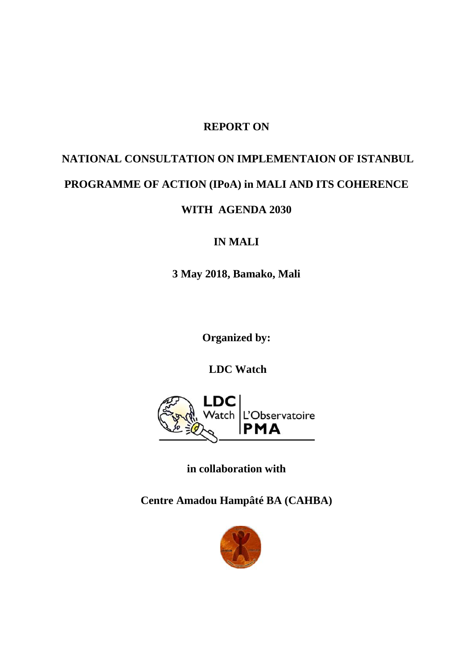# **REPORT ON**

# **NATIONAL CONSULTATION ON IMPLEMENTAION OF ISTANBUL PROGRAMME OF ACTION (IPoA) in MALI AND ITS COHERENCE**

# **WITH AGENDA 2030**

# **IN MALI**

**3 May 2018, Bamako, Mali**

**Organized by:**

**LDC Watch**



**in collaboration with**

**Centre Amadou Hampâté BA (CAHBA)**

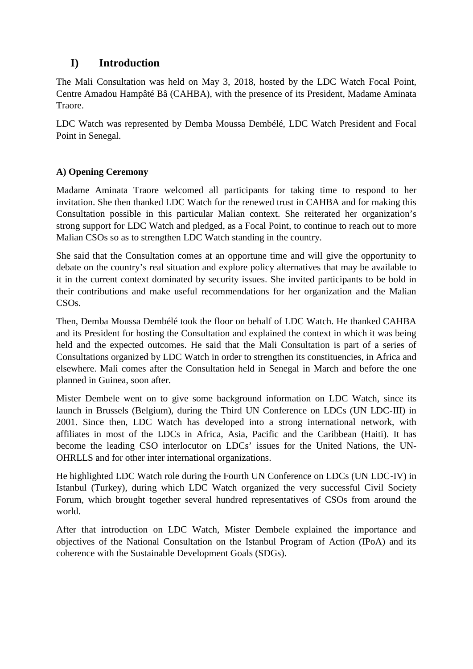# **I) Introduction**

The Mali Consultation was held on May 3, 2018, hosted by the LDC Watch Focal Point, Centre Amadou Hampâté Bâ (CAHBA), with the presence of its President, Madame Aminata Traore.

LDC Watch was represented by Demba Moussa Dembélé, LDC Watch President and Focal Point in Senegal.

# **A) Opening Ceremony**

Madame Aminata Traore welcomed all participants for taking time to respond to her invitation. She then thanked LDC Watch for the renewed trust in CAHBA and for making this Consultation possible in this particular Malian context. She reiterated her organization's strong support for LDC Watch and pledged, as a Focal Point, to continue to reach out to more Malian CSOs so as to strengthen LDC Watch standing in the country.

She said that the Consultation comes at an opportune time and will give the opportunity to debate on the country's real situation and explore policy alternatives that may be available to it in the current context dominated by security issues. She invited participants to be bold in their contributions and make useful recommendations for her organization and the Malian CSOs.

Then, Demba Moussa Dembélé took the floor on behalf of LDC Watch. He thanked CAHBA and its President for hosting the Consultation and explained the context in which it was being held and the expected outcomes. He said that the Mali Consultation is part of a series of Consultations organized by LDC Watch in order to strengthen its constituencies, in Africa and elsewhere. Mali comes after the Consultation held in Senegal in March and before the one planned in Guinea, soon after.

Mister Dembele went on to give some background information on LDC Watch, since its launch in Brussels (Belgium), during the Third UN Conference on LDCs (UN LDC-III) in 2001. Since then, LDC Watch has developed into a strong international network, with affiliates in most of the LDCs in Africa, Asia, Pacific and the Caribbean (Haiti). It has become the leading CSO interlocutor on LDCs' issues for the United Nations, the UN- OHRLLS and for other inter international organizations.

He highlighted LDC Watch role during the Fourth UN Conference on LDCs (UN LDC-IV) in Istanbul (Turkey), during which LDC Watch organized the very successful Civil Society Forum, which brought together several hundred representatives of CSOs from around the world.

After that introduction on LDC Watch, Mister Dembele explained the importance and objectives of the National Consultation on the Istanbul Program of Action (IPoA) and its coherence with the Sustainable Development Goals (SDGs).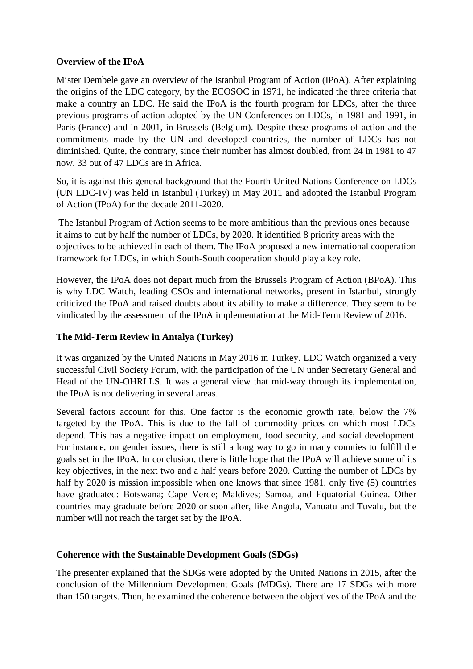## **Overview of the IPoA**

Mister Dembele gave an overview of the Istanbul Program of Action (IPoA). After explaining the origins of the LDC category, by the ECOSOC in 1971, he indicated the three criteria that make a country an LDC. He said the IPoA is the fourth program for LDCs, after the three previous programs of action adopted by the UN Conferences on LDCs, in 1981 and 1991, in Paris (France) and in 2001, in Brussels (Belgium). Despite these programs of action and the commitments made by the UN and developed countries, the number of LDCs has not diminished. Quite, the contrary, since their number has almost doubled, from 24 in 1981 to 47 now. 33 out of 47 LDCs are in Africa.

So, it is against this general background that the Fourth United Nations Conference on LDCs (UN LDC-IV) was held in Istanbul (Turkey) in May 2011 and adopted the Istanbul Program of Action (IPoA) for the decade 2011-2020.

The Istanbul Program of Action seems to be more ambitious than the previous ones because it aims to cut by half the number of LDCs, by 2020. It identified 8 priority areas with the objectives to be achieved in each of them. The IPoA proposed a new international cooperation framework for LDCs, in which South-South cooperation should play a key role.

However, the IPoA does not depart much from the Brussels Program of Action (BPoA). This is why LDC Watch, leading CSOs and international networks, present in Istanbul, strongly criticized the IPoA and raised doubts about its ability to make a difference. They seem to be vindicated by the assessment of the IPoA implementation at the Mid-Term Review of 2016.

## **The Mid-Term Review in Antalya (Turkey)**

It was organized by the United Nations in May 2016 in Turkey. LDC Watch organized a very successful Civil Society Forum, with the participation of the UN under Secretary General and Head of the UN-OHRLLS. It was a general view that mid-way through its implementation, the IPoA is not delivering in several areas.

Several factors account for this. One factor is the economic growth rate, below the 7% targeted by the IPoA. This is due to the fall of commodity prices on which most LDCs depend. This has a negative impact on employment, food security, and social development. For instance, on gender issues, there is still a long way to go in many counties to fulfill the goals set in the IPoA. In conclusion, there is little hope that the IPoA will achieve some of its key objectives, in the next two and a half years before 2020. Cutting the number of LDCs by half by 2020 is mission impossible when one knows that since 1981, only five (5) countries have graduated: Botswana; Cape Verde; Maldives; Samoa, and Equatorial Guinea. Other countries may graduate before 2020 or soon after, like Angola, Vanuatu and Tuvalu, but the number will not reach the target set by the IPoA.

#### **Coherence with the Sustainable Development Goals (SDGs)**

The presenter explained that the SDGs were adopted by the United Nations in 2015, after the conclusion of the Millennium Development Goals (MDGs). There are 17 SDGs with more than 150 targets. Then, he examined the coherence between the objectives of the IPoA and the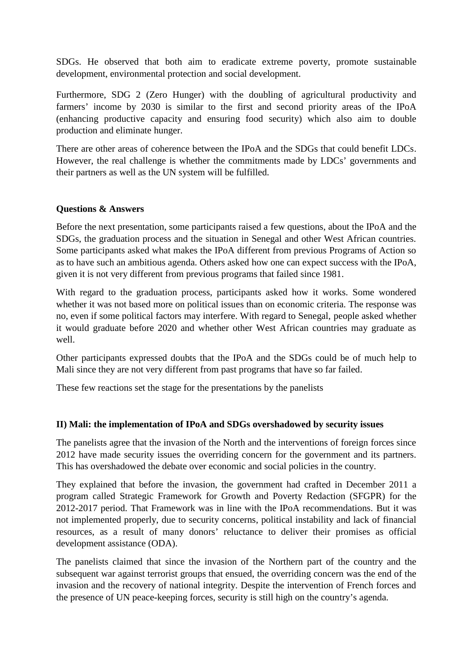SDGs. He observed that both aim to eradicate extreme poverty, promote sustainable development, environmental protection and social development.

Furthermore, SDG 2 (Zero Hunger) with the doubling of agricultural productivity and farmers' income by 2030 is similar to the first and second priority areas of the IPoA (enhancing productive capacity and ensuring food security) which also aim to double production and eliminate hunger.

There are other areas of coherence between the IPoA and the SDGs that could benefit LDCs. However, the real challenge is whether the commitments made by LDCs' governments and their partners as well as the UN system will be fulfilled.

#### **Questions & Answers**

Before the next presentation, some participants raised a few questions, about the IPoA and the SDGs, the graduation process and the situation in Senegal and other West African countries. Some participants asked what makes the IPoA different from previous Programs of Action so as to have such an ambitious agenda. Others asked how one can expect success with the IPoA, given it is not very different from previous programs that failed since 1981.

With regard to the graduation process, participants asked how it works. Some wondered whether it was not based more on political issues than on economic criteria. The response was no, even if some political factors may interfere. With regard to Senegal, people asked whether it would graduate before 2020 and whether other West African countries may graduate as well.

Other participants expressed doubts that the IPoA and the SDGs could be of much help to Mali since they are not very different from past programs that have so far failed.

These few reactions set the stage for the presentations by the panelists

## **II) Mali: the implementation of IPoA and SDGs overshadowed by security issues**

The panelists agree that the invasion of the North and the interventions of foreign forces since 2012 have made security issues the overriding concern for the government and its partners. This has overshadowed the debate over economic and social policies in the country.

They explained that before the invasion, the government had crafted in December 2011 a program called Strategic Framework for Growth and Poverty Redaction (SFGPR) for the 2012-2017 period. That Framework was in line with the IPoA recommendations. But it was not implemented properly, due to security concerns, political instability and lack of financial resources, as a result of many donors' reluctance to deliver their promises as official development assistance (ODA).

The panelists claimed that since the invasion of the Northern part of the country and the subsequent war against terrorist groups that ensued, the overriding concern was the end of the invasion and the recovery of national integrity. Despite the intervention of French forces and the presence of UN peace-keeping forces, security is still high on the country's agenda.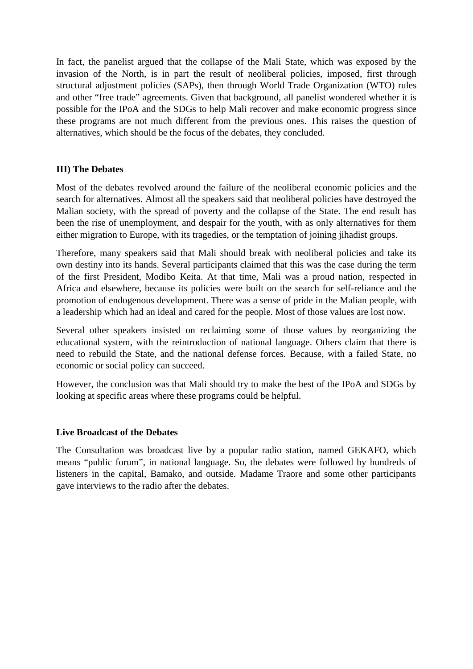In fact, the panelist argued that the collapse of the Mali State, which was exposed by the invasion of the North, is in part the result of neoliberal policies, imposed, first through structural adjustment policies (SAPs), then through World Trade Organization (WTO) rules and other "free trade" agreements. Given that background, all panelist wondered whether it is possible for the IPoA and the SDGs to help Mali recover and make economic progress since these programs are not much different from the previous ones. This raises the question of alternatives, which should be the focus of the debates, they concluded.

## **III) The Debates**

Most of the debates revolved around the failure of the neoliberal economic policies and the search for alternatives. Almost all the speakers said that neoliberal policies have destroyed the Malian society, with the spread of poverty and the collapse of the State. The end result has been the rise of unemployment, and despair for the youth, with as only alternatives for them either migration to Europe, with its tragedies, or the temptation of joining jihadist groups.

Therefore, many speakers said that Mali should break with neoliberal policies and take its own destiny into its hands. Several participants claimed that this was the case during the term of the first President, Modibo Keita. At that time, Mali was a proud nation, respected in Africa and elsewhere, because its policies were built on the search for self-reliance and the promotion of endogenous development. There was a sense of pride in the Malian people, with a leadership which had an ideal and cared for the people. Most of those values are lost now.

Several other speakers insisted on reclaiming some of those values by reorganizing the educational system, with the reintroduction of national language. Others claim that there is need to rebuild the State, and the national defense forces. Because, with a failed State, no economic or social policy can succeed.

However, the conclusion was that Mali should try to make the best of the IPoA and SDGs by looking at specific areas where these programs could be helpful.

## **Live Broadcast of the Debates**

The Consultation was broadcast live by a popular radio station, named GEKAFO, which means "public forum", in national language. So, the debates were followed by hundreds of listeners in the capital, Bamako, and outside. Madame Traore and some other participants gave interviews to the radio after the debates.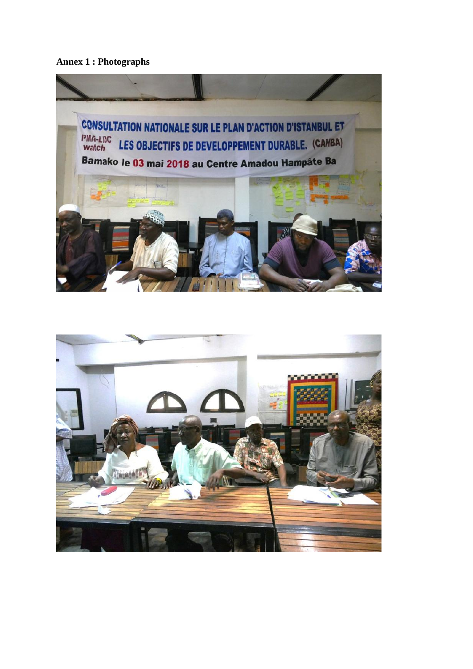# **Annex 1 : Photographs**



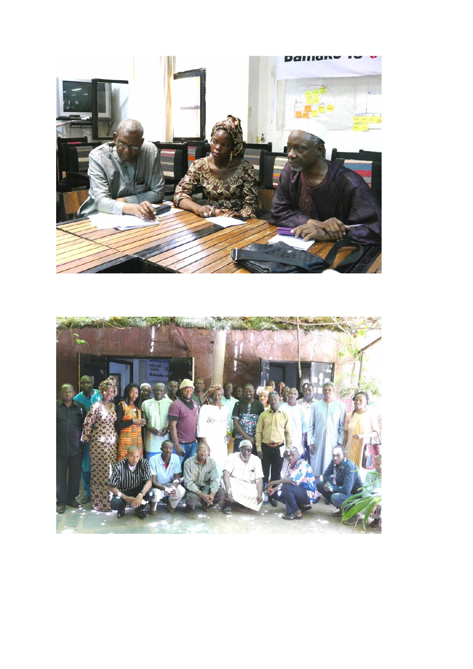

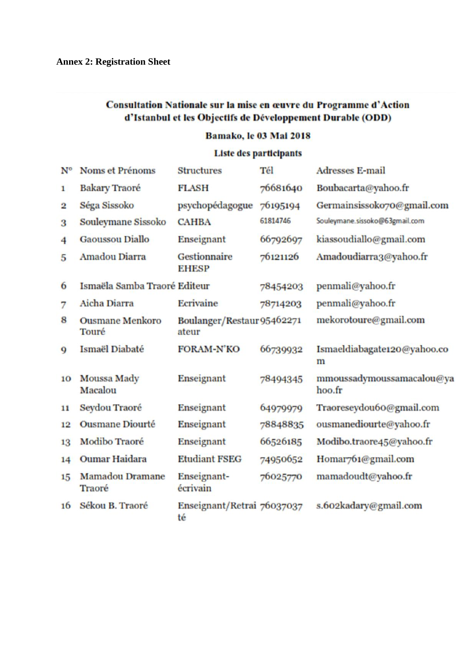# Consultation Nationale sur la mise en œuvre du Programme d'Action d'Istanbul et les Objectifs de Développement Durable (ODD)

## **Bamako, le 03 Mai 2018**

# **Liste des participants**

| N°                      | <b>Noms et Prénoms</b>           | <b>Structures</b>                   | Tél      | <b>Adresses E-mail</b>              |
|-------------------------|----------------------------------|-------------------------------------|----------|-------------------------------------|
| $\mathbf{1}$            | <b>Bakary Traoré</b>             | <b>FLASH</b>                        | 76681640 | Boubacarta@yahoo.fr                 |
| $\overline{\mathbf{2}}$ | Séga Sissoko                     | psychopédagogue                     | 76195194 | Germainsissoko70@gmail.com          |
| 3                       | Souleymane Sissoko               | <b>CAHBA</b>                        | 61814746 | Souleymane.sissoko@63gmail.com      |
| 4                       | <b>Gaoussou Diallo</b>           | Enseignant                          | 66792697 | kiassoudiallo@gmail.com             |
| 5                       | <b>Amadou Diarra</b>             | <b>Gestionnaire</b><br><b>EHESP</b> | 76121126 | Amadoudiarra3@yahoo.fr              |
| 6                       | Ismaëla Samba Traoré Editeur     |                                     | 78454203 | penmali@yahoo.fr                    |
| 7                       | Aicha Diarra                     | Ecrivaine                           | 78714203 | penmali@yahoo.fr                    |
| 8                       | <b>Ousmane Menkoro</b><br>Touré  | Boulanger/Restaur 95462271<br>ateur |          | mekorotoure@gmail.com               |
| 9                       | Ismaël Diabaté                   | <b>FORAM-N'KO</b>                   | 66739932 | Ismaeldiabagate120@yahoo.co<br>m    |
| 10                      | <b>Moussa Mady</b><br>Macalou    | Enseignant                          | 78494345 | mmoussadymoussamacalou@ya<br>hoo.fr |
| 11                      | Seydou Traoré                    | Enseignant                          | 64979979 | Traoreseydou60@gmail.com            |
| 12                      | <b>Ousmane Diourté</b>           | Enseignant                          | 78848835 | ousmanediourte@yahoo.fr             |
| 13                      | <b>Modibo Traoré</b>             | Enseignant                          | 66526185 | Modibo.traore45@yahoo.fr            |
| 14                      | <b>Oumar Haidara</b>             | <b>Etudiant FSEG</b>                | 74950652 | Homar761@gmail.com                  |
| 15                      | <b>Mamadou Dramane</b><br>Traoré | Enseignant-<br>écrivain             | 76025770 | mamadoudt@yahoo.fr                  |
| 16                      | Sékou B. Traoré                  | Enseignant/Retrai 76037037<br>té    |          | s.602kadary@gmail.com               |